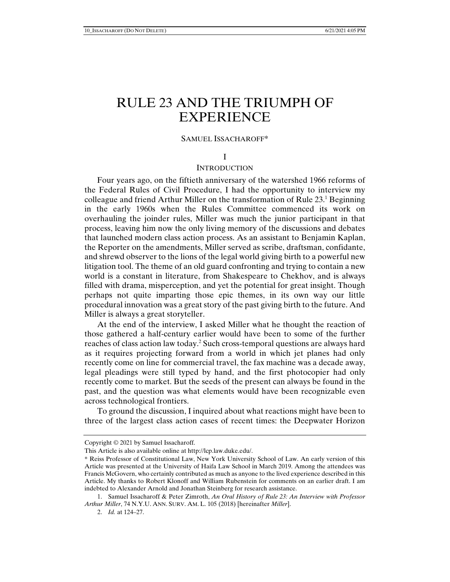# RULE 23 AND THE TRIUMPH OF **EXPERIENCE**

## SAMUEL ISSACHAROFF\*

#### I

## **INTRODUCTION**

Four years ago, on the fiftieth anniversary of the watershed 1966 reforms of the Federal Rules of Civil Procedure, I had the opportunity to interview my colleague and friend Arthur Miller on the transformation of Rule 23.<sup>1</sup> Beginning in the early 1960s when the Rules Committee commenced its work on overhauling the joinder rules, Miller was much the junior participant in that process, leaving him now the only living memory of the discussions and debates that launched modern class action process. As an assistant to Benjamin Kaplan, the Reporter on the amendments, Miller served as scribe, draftsman, confidante, and shrewd observer to the lions of the legal world giving birth to a powerful new litigation tool. The theme of an old guard confronting and trying to contain a new world is a constant in literature, from Shakespeare to Chekhov, and is always filled with drama, misperception, and yet the potential for great insight. Though perhaps not quite imparting those epic themes, in its own way our little procedural innovation was a great story of the past giving birth to the future. And Miller is always a great storyteller.

At the end of the interview, I asked Miller what he thought the reaction of those gathered a half-century earlier would have been to some of the further reaches of class action law today.<sup>2</sup> Such cross-temporal questions are always hard as it requires projecting forward from a world in which jet planes had only recently come on line for commercial travel, the fax machine was a decade away, legal pleadings were still typed by hand, and the first photocopier had only recently come to market. But the seeds of the present can always be found in the past, and the question was what elements would have been recognizable even across technological frontiers.

To ground the discussion, I inquired about what reactions might have been to three of the largest class action cases of recent times: the Deepwater Horizon

Copyright © 2021 by Samuel Issacharoff.

This Article is also available online at http://lcp.law.duke.edu/.

<sup>\*</sup> Reiss Professor of Constitutional Law, New York University School of Law. An early version of this Article was presented at the University of Haifa Law School in March 2019. Among the attendees was Francis McGovern, who certainly contributed as much as anyone to the lived experience described in this Article. My thanks to Robert Klonoff and William Rubenstein for comments on an earlier draft. I am indebted to Alexander Arnold and Jonathan Steinberg for research assistance.

 <sup>1.</sup> Samuel Issacharoff & Peter Zimroth, *An Oral History of Rule 23: An Interview with Professor Arthur Miller*, 74 N.Y.U. ANN. SURV. AM. L. 105 (2018) [hereinafter *Miller*].

 <sup>2.</sup> *Id.* at 124–27.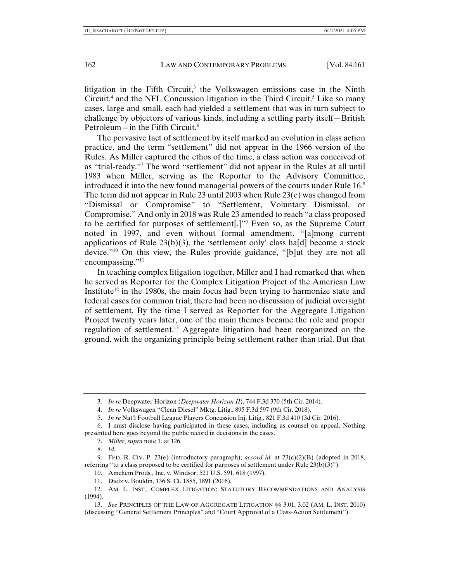litigation in the Fifth Circuit, $3$  the Volkswagen emissions case in the Ninth Circuit, $4$  and the NFL Concussion litigation in the Third Circuit.<sup>5</sup> Like so many cases, large and small, each had yielded a settlement that was in turn subject to challenge by objectors of various kinds, including a settling party itself—British Petroleum—in the Fifth Circuit. $6$ 

The pervasive fact of settlement by itself marked an evolution in class action practice, and the term "settlement" did not appear in the 1966 version of the Rules. As Miller captured the ethos of the time, a class action was conceived of as "trial-ready."7 The word "settlement" did not appear in the Rules at all until 1983 when Miller, serving as the Reporter to the Advisory Committee, introduced it into the new found managerial powers of the courts under Rule 16.<sup>8</sup> The term did not appear in Rule 23 until 2003 when Rule  $(23(e))$  was changed from "Dismissal or Compromise" to "Settlement, Voluntary Dismissal, or Compromise." And only in 2018 was Rule 23 amended to reach "a class proposed to be certified for purposes of settlement[.]"9 Even so, as the Supreme Court noted in 1997, and even without formal amendment, "[a]mong current applications of Rule  $23(b)(3)$ , the 'settlement only' class ha[d] become a stock device."10 On this view, the Rules provide guidance, "[b]ut they are not all encompassing."<sup>11</sup>

In teaching complex litigation together, Miller and I had remarked that when he served as Reporter for the Complex Litigation Project of the American Law Institute<sup>12</sup> in the 1980s, the main focus had been trying to harmonize state and federal cases for common trial; there had been no discussion of judicial oversight of settlement. By the time I served as Reporter for the Aggregate Litigation Project twenty years later, one of the main themes became the role and proper regulation of settlement.13 Aggregate litigation had been reorganized on the ground, with the organizing principle being settlement rather than trial. But that

10. Amchem Prods., Inc. v. Windsor, 521 U.S. 591, 618 (1997).

 <sup>3.</sup> *In re* Deepwater Horizon (*Deepwater Horizon II*), 744 F.3d 370 (5th Cir. 2014).

 <sup>4.</sup> *In re* Volkswagen "Clean Diesel" Mktg. Litig., 895 F.3d 597 (9th Cir. 2018).

 <sup>5.</sup> *In re* Nat'l Football League Players Concussion Inj. Litig., 821 F*.*3d 410 (3d Cir*.* 2016).

 <sup>6.</sup> I must disclose having participated in these cases, including as counsel on appeal. Nothing presented here goes beyond the public record in decisions in the cases.

 <sup>7.</sup> *Miller*, *supra* note 1, at 126.

 <sup>8.</sup> *Id.*

 <sup>9.</sup> FED. R. CIV. P. 23(e) (introductory paragraph); *accord id.* at 23(c)(2)(B) (adopted in 2018, referring "to a class proposed to be certified for purposes of settlement under Rule 23(b)(3)").

 <sup>11.</sup> Dietz v. Bouldin, 136 S. Ct. 1885, 1891 (2016).

 <sup>12.</sup> AM. L. INST., COMPLEX LITIGATION: STATUTORY RECOMMENDATIONS AND ANALYSIS (1994).

 <sup>13.</sup> *See* PRINCIPLES OF THE LAW OF AGGREGATE LITIGATION §§ 3.01, 3.02 (AM. L. INST. 2010) (discussing "General Settlement Principles" and "Court Approval of a Class-Action Settlement").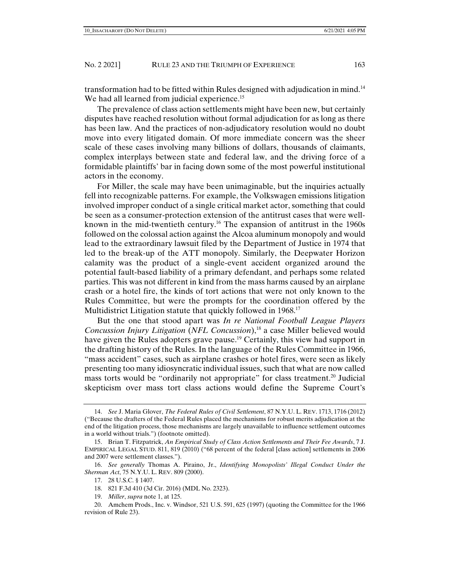transformation had to be fitted within Rules designed with adjudication in mind.14 We had all learned from judicial experience.<sup>15</sup>

The prevalence of class action settlements might have been new, but certainly disputes have reached resolution without formal adjudication for as long as there has been law. And the practices of non-adjudicatory resolution would no doubt move into every litigated domain. Of more immediate concern was the sheer scale of these cases involving many billions of dollars, thousands of claimants, complex interplays between state and federal law, and the driving force of a formidable plaintiffs' bar in facing down some of the most powerful institutional actors in the economy.

For Miller, the scale may have been unimaginable, but the inquiries actually fell into recognizable patterns. For example, the Volkswagen emissions litigation involved improper conduct of a single critical market actor, something that could be seen as a consumer-protection extension of the antitrust cases that were wellknown in the mid-twentieth century.16 The expansion of antitrust in the 1960s followed on the colossal action against the Alcoa aluminum monopoly and would lead to the extraordinary lawsuit filed by the Department of Justice in 1974 that led to the break-up of the ATT monopoly. Similarly, the Deepwater Horizon calamity was the product of a single-event accident organized around the potential fault-based liability of a primary defendant, and perhaps some related parties. This was not different in kind from the mass harms caused by an airplane crash or a hotel fire, the kinds of tort actions that were not only known to the Rules Committee, but were the prompts for the coordination offered by the Multidistrict Litigation statute that quickly followed in 1968.<sup>17</sup>

But the one that stood apart was *In re National Football League Players Concussion Injury Litigation (NFL Concussion*),<sup>18</sup> a case Miller believed would have given the Rules adopters grave pause.<sup>19</sup> Certainly, this view had support in the drafting history of the Rules. In the language of the Rules Committee in 1966, "mass accident" cases, such as airplane crashes or hotel fires, were seen as likely presenting too many idiosyncratic individual issues, such that what are now called mass torts would be "ordinarily not appropriate" for class treatment.<sup>20</sup> Judicial skepticism over mass tort class actions would define the Supreme Court's

 <sup>14.</sup> *See* J. Maria Glover, *The Federal Rules of Civil Settlement*, 87 N.Y.U. L. REV. 1713, 1716 (2012) ("Because the drafters of the Federal Rules placed the mechanisms for robust merits adjudication at the end of the litigation process, those mechanisms are largely unavailable to influence settlement outcomes in a world without trials.") (footnote omitted).

 <sup>15.</sup> Brian T. Fitzpatrick, *An Empirical Study of Class Action Settlements and Their Fee Awards*, 7 J. EMPIRICAL LEGAL STUD. 811, 819 (2010) ("68 percent of the federal [class action] settlements in 2006 and 2007 were settlement classes.").

 <sup>16.</sup> *See generally* Thomas A. Piraino, Jr., *Identifying Monopolists' Illegal Conduct Under the Sherman Act*, 75 N.Y.U. L. REV. 809 (2000).

 <sup>17. 28</sup> U.S.C. § 1407.

 <sup>18. 821</sup> F.3d 410 (3d Cir. 2016) (MDL No. 2323).

 <sup>19.</sup> *Miller*, *supra* note 1, at 125.

 <sup>20.</sup> Amchem Prods., Inc. v. Windsor, 521 U.S. 591, 625 (1997) (quoting the Committee for the 1966 revision of Rule 23).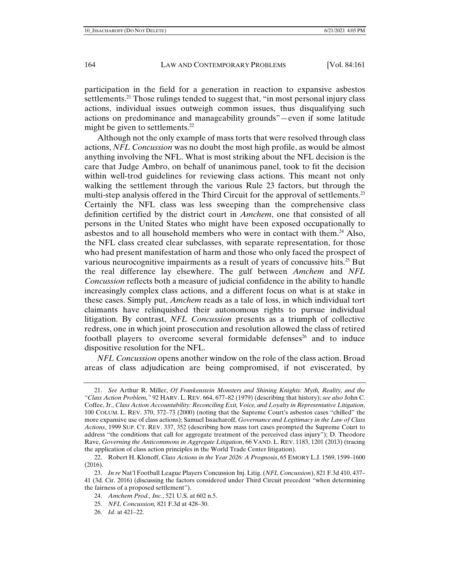participation in the field for a generation in reaction to expansive asbestos settlements.<sup>21</sup> Those rulings tended to suggest that, "in most personal injury class actions, individual issues outweigh common issues, thus disqualifying such actions on predominance and manageability grounds"—even if some latitude might be given to settlements.<sup>22</sup>

Although not the only example of mass torts that were resolved through class actions, *NFL Concussion* was no doubt the most high profile, as would be almost anything involving the NFL. What is most striking about the NFL decision is the care that Judge Ambro, on behalf of unanimous panel, took to fit the decision within well-trod guidelines for reviewing class actions. This meant not only walking the settlement through the various Rule 23 factors, but through the multi-step analysis offered in the Third Circuit for the approval of settlements.<sup>23</sup> Certainly the NFL class was less sweeping than the comprehensive class definition certified by the district court in *Amchem*, one that consisted of all persons in the United States who might have been exposed occupationally to asbestos and to all household members who were in contact with them.<sup>24</sup> Also, the NFL class created clear subclasses, with separate representation, for those who had present manifestation of harm and those who only faced the prospect of various neurocognitive impairments as a result of years of concussive hits.<sup>25</sup> But the real difference lay elsewhere. The gulf between *Amchem* and *NFL Concussion* reflects both a measure of judicial confidence in the ability to handle increasingly complex class actions, and a different focus on what is at stake in these cases. Simply put, *Amchem* reads as a tale of loss, in which individual tort claimants have relinquished their autonomous rights to pursue individual litigation. By contrast, *NFL Concussion* presents as a triumph of collective redress, one in which joint prosecution and resolution allowed the class of retired football players to overcome several formidable defenses<sup>26</sup> and to induce dispositive resolution for the NFL.

*NFL Concussion* opens another window on the role of the class action. Broad areas of class adjudication are being compromised, if not eviscerated, by

- 24. *Amchem Prod., Inc.*, 521 U.S. at 602 n.5.
- 25. *NFL Concussion,* 821 F.3d at 428–30.
- 26. *Id.* at 421–22.

 <sup>21.</sup> *See* Arthur R. Miller, *Of Frankenstein Monsters and Shining Knights: Myth, Reality, and the "Class Action Problem,"* 92 HARV. L. REV. 664, 677–82 (1979) (describing that history); *see also* John C. Coffee, Jr., *Class Action Accountability: Reconciling Exit, Voice, and Loyalty in Representative Litigation*, 100 COLUM. L. REV. 370, 372–73 (2000) (noting that the Supreme Court's asbestos cases "chilled" the more expansive use of class actions); Samuel Issacharoff, *Governance and Legitimacy in the Law of Class Actions*, 1999 SUP. CT. REV. 337, 352 (describing how mass tort cases prompted the Supreme Court to address "the conditions that call for aggregate treatment of the perceived class injury"); D. Theodore Rave, *Governing the Anticommons in Aggregate Litigation*, 66 VAND. L. REV. 1183, 1201 (2013) (tracing the application of class action principles in the World Trade Center litigation).

 <sup>22.</sup> Robert H. Klonoff, *Class Actions in the Year 2026: A Prognosis*, 65 EMORY L.J. 1569, 1599–1600 (2016).

 <sup>23.</sup> *In re* Nat'l Football League Players Concussion Inj. Litig. (*NFL Concussion*), 821 F*.*3d 410, 437– 41 (3d. Cir. 2016) (discussing the factors considered under Third Circuit precedent "when determining the fairness of a proposed settlement").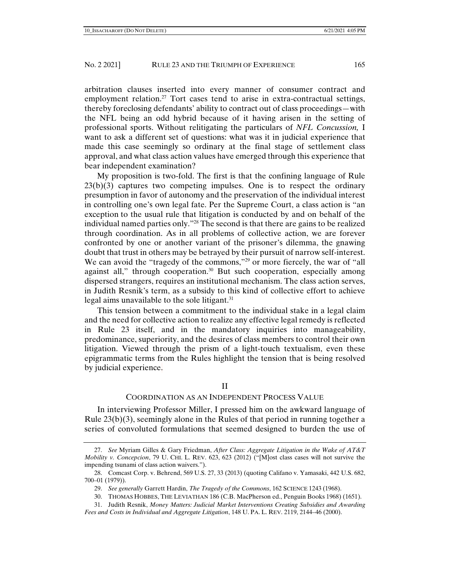arbitration clauses inserted into every manner of consumer contract and employment relation.<sup>27</sup> Tort cases tend to arise in extra-contractual settings, thereby foreclosing defendants' ability to contract out of class proceedings—with the NFL being an odd hybrid because of it having arisen in the setting of professional sports. Without relitigating the particulars of *NFL Concussion,* I want to ask a different set of questions: what was it in judicial experience that made this case seemingly so ordinary at the final stage of settlement class approval, and what class action values have emerged through this experience that bear independent examination?

My proposition is two-fold. The first is that the confining language of Rule  $23(b)(3)$  captures two competing impulses. One is to respect the ordinary presumption in favor of autonomy and the preservation of the individual interest in controlling one's own legal fate. Per the Supreme Court, a class action is "an exception to the usual rule that litigation is conducted by and on behalf of the individual named parties only."28 The second is that there are gains to be realized through coordination. As in all problems of collective action, we are forever confronted by one or another variant of the prisoner's dilemma, the gnawing doubt that trust in others may be betrayed by their pursuit of narrow self-interest. We can avoid the "tragedy of the commons,"<sup>29</sup> or more fiercely, the war of "all against all," through cooperation.<sup>30</sup> But such cooperation, especially among dispersed strangers, requires an institutional mechanism. The class action serves, in Judith Resnik's term, as a subsidy to this kind of collective effort to achieve legal aims unavailable to the sole litigant.<sup>31</sup>

This tension between a commitment to the individual stake in a legal claim and the need for collective action to realize any effective legal remedy is reflected in Rule 23 itself, and in the mandatory inquiries into manageability, predominance, superiority, and the desires of class members to control their own litigation. Viewed through the prism of a light-touch textualism, even these epigrammatic terms from the Rules highlight the tension that is being resolved by judicial experience.

## II

## COORDINATION AS AN INDEPENDENT PROCESS VALUE

In interviewing Professor Miller, I pressed him on the awkward language of Rule  $23(b)(3)$ , seemingly alone in the Rules of that period in running together a series of convoluted formulations that seemed designed to burden the use of

 31. Judith Resnik, *Money Matters: Judicial Market Interventions Creating Subsidies and Awarding Fees and Costs in Individual and Aggregate Litigation*, 148 U. PA. L. REV. 2119, 2144–46 (2000).

 <sup>27.</sup> *See* Myriam Gilles & Gary Friedman, *After Class: Aggregate Litigation in the Wake of AT&T Mobility v. Concepcion*, 79 U. CHI. L. REV. 623, 623 (2012) ("[M]ost class cases will not survive the impending tsunami of class action waivers.").

 <sup>28.</sup> Comcast Corp. v. Behrend, 569 U.S. 27, 33 (2013) (quoting Califano v. Yamasaki, 442 U.S. 682, 700–01 (1979)).

 <sup>29.</sup> *See generally* Garrett Hardin, *The Tragedy of the Commons*, 162 SCIENCE 1243 (1968).

 <sup>30.</sup> THOMAS HOBBES, THE LEVIATHAN 186 (C.B. MacPherson ed., Penguin Books 1968) (1651).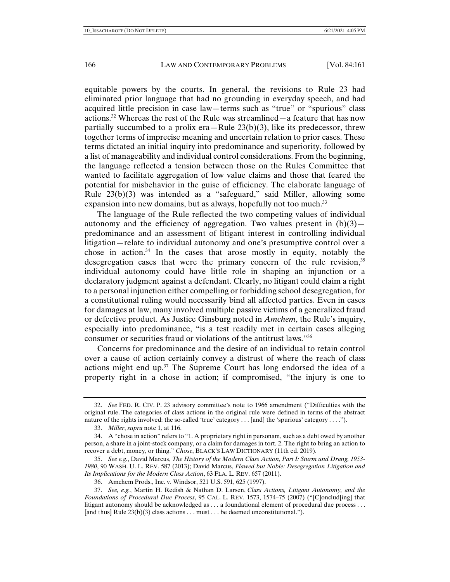equitable powers by the courts. In general, the revisions to Rule 23 had eliminated prior language that had no grounding in everyday speech, and had acquired little precision in case law—terms such as "true" or "spurious" class actions.<sup>32</sup> Whereas the rest of the Rule was streamlined—a feature that has now partially succumbed to a prolix era—Rule  $23(b)(3)$ , like its predecessor, threw together terms of imprecise meaning and uncertain relation to prior cases. These terms dictated an initial inquiry into predominance and superiority, followed by a list of manageability and individual control considerations. From the beginning, the language reflected a tension between those on the Rules Committee that wanted to facilitate aggregation of low value claims and those that feared the potential for misbehavior in the guise of efficiency. The elaborate language of Rule 23(b)(3) was intended as a "safeguard," said Miller, allowing some expansion into new domains, but as always, hopefully not too much.<sup>33</sup>

The language of the Rule reflected the two competing values of individual autonomy and the efficiency of aggregation. Two values present in  $(b)(3)$  predominance and an assessment of litigant interest in controlling individual litigation—relate to individual autonomy and one's presumptive control over a chose in action.<sup>34</sup> In the cases that arose mostly in equity, notably the desegregation cases that were the primary concern of the rule revision,  $35$ individual autonomy could have little role in shaping an injunction or a declaratory judgment against a defendant. Clearly, no litigant could claim a right to a personal injunction either compelling or forbidding school desegregation, for a constitutional ruling would necessarily bind all affected parties. Even in cases for damages at law, many involved multiple passive victims of a generalized fraud or defective product. As Justice Ginsburg noted in *Amchem*, the Rule's inquiry, especially into predominance, "is a test readily met in certain cases alleging consumer or securities fraud or violations of the antitrust laws."36

Concerns for predominance and the desire of an individual to retain control over a cause of action certainly convey a distrust of where the reach of class actions might end up.37 The Supreme Court has long endorsed the idea of a property right in a chose in action; if compromised, "the injury is one to

 <sup>32.</sup> *See* FED. R. CIV. P. 23 advisory committee's note to 1966 amendment ("Difficulties with the original rule. The categories of class actions in the original rule were defined in terms of the abstract nature of the rights involved: the so-called 'true' category . . . [and] the 'spurious' category . . . .").

 <sup>33.</sup> *Miller*, *supra* note 1, at 116.

 <sup>34.</sup> A "chose in action" refers to "1. A proprietary right in personam, such as a debt owed by another person, a share in a joint-stock company, or a claim for damages in tort. 2. The right to bring an action to recover a debt, money, or thing." *Chose*, BLACK'S LAW DICTIONARY (11th ed. 2019).

 <sup>35.</sup> *See e.g.*, David Marcus, *The History of the Modern Class Action, Part I: Sturm und Drang, 1953- 1980*, 90 WASH. U. L. REV. 587 (2013); David Marcus, *Flawed but Noble: Desegregation Litigation and Its Implications for the Modern Class Action*, 63 FLA. L. REV. 657 (2011).

 <sup>36.</sup> Amchem Prods., Inc. v. Windsor, 521 U.S. 591, 625 (1997).

 <sup>37.</sup> *See, e.g.*, Martin H. Redish & Nathan D. Larsen, *Class Actions, Litigant Autonomy, and the Foundations of Procedural Due Process*, 95 CAL. L. REV. 1573, 1574–75 (2007) ("[C]onclud[ing] that litigant autonomy should be acknowledged as . . . a foundational element of procedural due process . . . [and thus] Rule  $23(b)(3)$  class actions . . . must . . . be deemed unconstitutional.").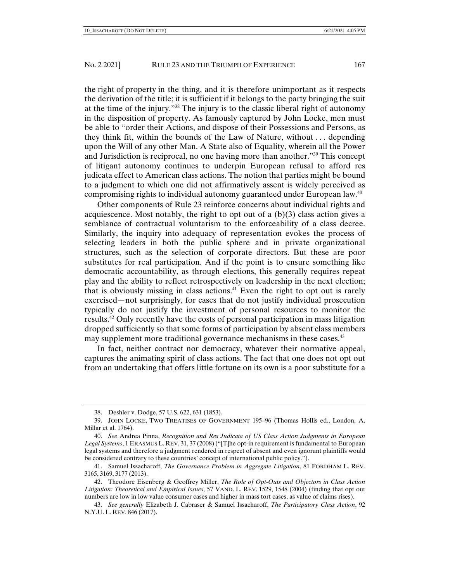the right of property in the thing, and it is therefore unimportant as it respects the derivation of the title; it is sufficient if it belongs to the party bringing the suit at the time of the injury."38 The injury is to the classic liberal right of autonomy in the disposition of property. As famously captured by John Locke, men must be able to "order their Actions, and dispose of their Possessions and Persons, as they think fit, within the bounds of the Law of Nature, without . . . depending upon the Will of any other Man. A State also of Equality, wherein all the Power and Jurisdiction is reciprocal, no one having more than another."39 This concept of litigant autonomy continues to underpin European refusal to afford res judicata effect to American class actions. The notion that parties might be bound to a judgment to which one did not affirmatively assent is widely perceived as compromising rights to individual autonomy guaranteed under European law.40

Other components of Rule 23 reinforce concerns about individual rights and acquiescence. Most notably, the right to opt out of a  $(b)(3)$  class action gives a semblance of contractual voluntarism to the enforceability of a class decree. Similarly, the inquiry into adequacy of representation evokes the process of selecting leaders in both the public sphere and in private organizational structures, such as the selection of corporate directors. But these are poor substitutes for real participation. And if the point is to ensure something like democratic accountability, as through elections, this generally requires repeat play and the ability to reflect retrospectively on leadership in the next election; that is obviously missing in class actions.<sup>41</sup> Even the right to opt out is rarely exercised—not surprisingly, for cases that do not justify individual prosecution typically do not justify the investment of personal resources to monitor the results.42 Only recently have the costs of personal participation in mass litigation dropped sufficiently so that some forms of participation by absent class members may supplement more traditional governance mechanisms in these cases.<sup>43</sup>

In fact, neither contract nor democracy, whatever their normative appeal, captures the animating spirit of class actions. The fact that one does not opt out from an undertaking that offers little fortune on its own is a poor substitute for a

 <sup>38.</sup> Deshler v. Dodge, 57 U.S. 622, 631 (1853).

 <sup>39.</sup> JOHN LOCKE, TWO TREATISES OF GOVERNMENT 195–96 (Thomas Hollis ed., London, A. Millar et al. 1764).

 <sup>40.</sup> *See* Andrea Pinna, *Recognition and Res Judicata of US Class Action Judgments in European Legal Systems*, 1 ERASMUS L. REV. 31, 37 (2008)("[T]he opt-in requirement is fundamental to European legal systems and therefore a judgment rendered in respect of absent and even ignorant plaintiffs would be considered contrary to these countries' concept of international public policy.").

 <sup>41.</sup> Samuel Issacharoff, *The Governance Problem in Aggregate Litigation*, 81 FORDHAM L. REV. 3165, 3169, 3177 (2013).

 <sup>42.</sup> Theodore Eisenberg & Geoffrey Miller, *The Role of Opt-Outs and Objectors in Class Action Litigation: Theoretical and Empirical Issues*, 57 VAND. L. REV. 1529, 1548 (2004) (finding that opt out numbers are low in low value consumer cases and higher in mass tort cases, as value of claims rises).

 <sup>43.</sup> *See generally* Elizabeth J. Cabraser & Samuel Issacharoff, *The Participatory Class Action*, 92 N.Y.U. L. REV. 846 (2017).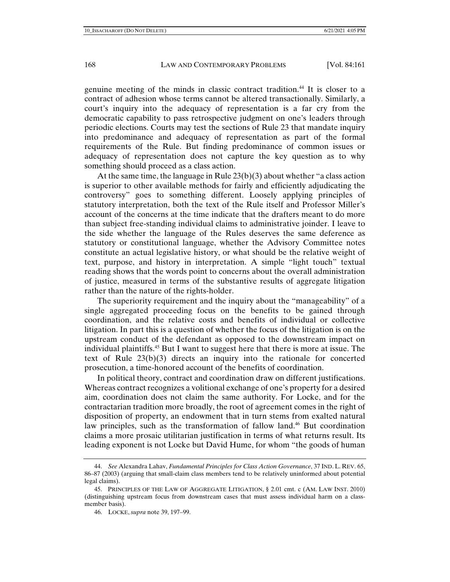genuine meeting of the minds in classic contract tradition.44 It is closer to a contract of adhesion whose terms cannot be altered transactionally. Similarly, a court's inquiry into the adequacy of representation is a far cry from the democratic capability to pass retrospective judgment on one's leaders through periodic elections. Courts may test the sections of Rule 23 that mandate inquiry into predominance and adequacy of representation as part of the formal requirements of the Rule. But finding predominance of common issues or adequacy of representation does not capture the key question as to why something should proceed as a class action.

At the same time, the language in Rule 23(b)(3) about whether "a class action is superior to other available methods for fairly and efficiently adjudicating the controversy" goes to something different. Loosely applying principles of statutory interpretation, both the text of the Rule itself and Professor Miller's account of the concerns at the time indicate that the drafters meant to do more than subject free-standing individual claims to administrative joinder. I leave to the side whether the language of the Rules deserves the same deference as statutory or constitutional language, whether the Advisory Committee notes constitute an actual legislative history, or what should be the relative weight of text, purpose, and history in interpretation. A simple "light touch" textual reading shows that the words point to concerns about the overall administration of justice, measured in terms of the substantive results of aggregate litigation rather than the nature of the rights-holder.

The superiority requirement and the inquiry about the "manageability" of a single aggregated proceeding focus on the benefits to be gained through coordination, and the relative costs and benefits of individual or collective litigation. In part this is a question of whether the focus of the litigation is on the upstream conduct of the defendant as opposed to the downstream impact on individual plaintiffs.45 But I want to suggest here that there is more at issue. The text of Rule 23(b)(3) directs an inquiry into the rationale for concerted prosecution, a time-honored account of the benefits of coordination.

In political theory, contract and coordination draw on different justifications. Whereas contract recognizes a volitional exchange of one's property for a desired aim, coordination does not claim the same authority. For Locke, and for the contractarian tradition more broadly, the root of agreement comes in the right of disposition of property, an endowment that in turn stems from exalted natural law principles, such as the transformation of fallow land.46 But coordination claims a more prosaic utilitarian justification in terms of what returns result. Its leading exponent is not Locke but David Hume, for whom "the goods of human

 <sup>44.</sup> *See* Alexandra Lahav, *Fundamental Principles for Class Action Governance*, 37 IND. L. REV. 65, 86–87 (2003) (arguing that small-claim class members tend to be relatively uninformed about potential legal claims).

 <sup>45.</sup> PRINCIPLES OF THE LAW OF AGGREGATE LITIGATION, § 2.01 cmt. c (AM. LAW INST. 2010) (distinguishing upstream focus from downstream cases that must assess individual harm on a classmember basis).

 <sup>46.</sup> LOCKE, *supra* note 39, 197–99.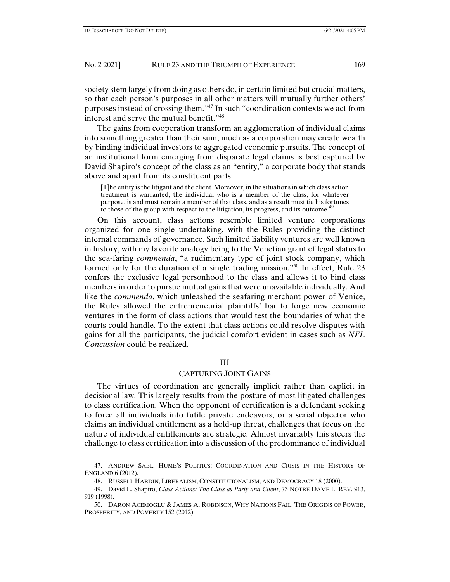society stem largely from doing as others do, in certain limited but crucial matters, so that each person's purposes in all other matters will mutually further others' purposes instead of crossing them."47 In such "coordination contexts we act from interest and serve the mutual benefit."<sup>48</sup>

The gains from cooperation transform an agglomeration of individual claims into something greater than their sum, much as a corporation may create wealth by binding individual investors to aggregated economic pursuits. The concept of an institutional form emerging from disparate legal claims is best captured by David Shapiro's concept of the class as an "entity," a corporate body that stands above and apart from its constituent parts:

[T]he entity is the litigant and the client. Moreover, in the situations in which class action treatment is warranted, the individual who is a member of the class, for whatever purpose, is and must remain a member of that class, and as a result must tie his fortunes to those of the group with respect to the litigation, its progress, and its outcome.<sup>49</sup>

On this account, class actions resemble limited venture corporations organized for one single undertaking, with the Rules providing the distinct internal commands of governance. Such limited liability ventures are well known in history, with my favorite analogy being to the Venetian grant of legal status to the sea-faring *commenda*, "a rudimentary type of joint stock company, which formed only for the duration of a single trading mission."<sup>50</sup> In effect, Rule 23 confers the exclusive legal personhood to the class and allows it to bind class members in order to pursue mutual gains that were unavailable individually. And like the *commenda*, which unleashed the seafaring merchant power of Venice, the Rules allowed the entrepreneurial plaintiffs' bar to forge new economic ventures in the form of class actions that would test the boundaries of what the courts could handle. To the extent that class actions could resolve disputes with gains for all the participants, the judicial comfort evident in cases such as *NFL Concussion* could be realized.

## III

## CAPTURING JOINT GAINS

The virtues of coordination are generally implicit rather than explicit in decisional law. This largely results from the posture of most litigated challenges to class certification. When the opponent of certification is a defendant seeking to force all individuals into futile private endeavors, or a serial objector who claims an individual entitlement as a hold-up threat, challenges that focus on the nature of individual entitlements are strategic. Almost invariably this steers the challenge to class certification into a discussion of the predominance of individual

 <sup>47.</sup> ANDREW SABL, HUME'S POLITICS: COORDINATION AND CRISIS IN THE HISTORY OF ENGLAND 6 (2012).

 <sup>48.</sup> RUSSELL HARDIN, LIBERALISM, CONSTITUTIONALISM, AND DEMOCRACY 18 (2000).

 <sup>49.</sup> David L. Shapiro, *Class Actions: The Class as Party and Client*, 73 NOTRE DAME L. REV. 913, 919 (1998).

 <sup>50.</sup> DARON ACEMOGLU & JAMES A. ROBINSON, WHY NATIONS FAIL: THE ORIGINS OF POWER, PROSPERITY, AND POVERTY 152 (2012).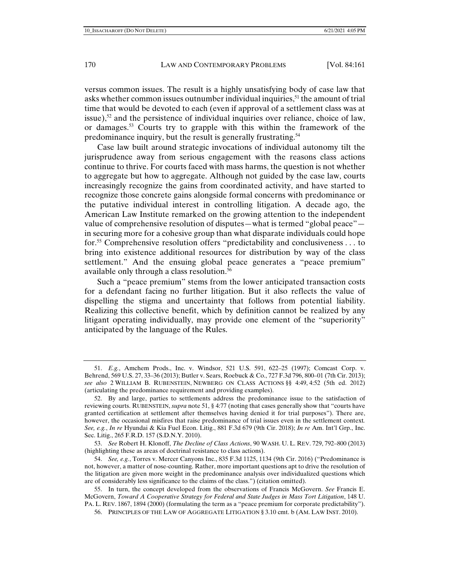versus common issues. The result is a highly unsatisfying body of case law that asks whether common issues outnumber individual inquiries,<sup>51</sup> the amount of trial time that would be devoted to each (even if approval of a settlement class was at issue), $5^2$  and the persistence of individual inquiries over reliance, choice of law, or damages.53 Courts try to grapple with this within the framework of the predominance inquiry, but the result is generally frustrating.54

Case law built around strategic invocations of individual autonomy tilt the jurisprudence away from serious engagement with the reasons class actions continue to thrive. For courts faced with mass harms, the question is not whether to aggregate but how to aggregate. Although not guided by the case law, courts increasingly recognize the gains from coordinated activity, and have started to recognize those concrete gains alongside formal concerns with predominance or the putative individual interest in controlling litigation. A decade ago, the American Law Institute remarked on the growing attention to the independent value of comprehensive resolution of disputes—what is termed "global peace" in securing more for a cohesive group than what disparate individuals could hope for.55 Comprehensive resolution offers "predictability and conclusiveness . . . to bring into existence additional resources for distribution by way of the class settlement." And the ensuing global peace generates a "peace premium" available only through a class resolution.56

Such a "peace premium" stems from the lower anticipated transaction costs for a defendant facing no further litigation. But it also reflects the value of dispelling the stigma and uncertainty that follows from potential liability. Realizing this collective benefit, which by definition cannot be realized by any litigant operating individually, may provide one element of the "superiority" anticipated by the language of the Rules.

 <sup>51.</sup> *E.g.*, Amchem Prods., Inc. v. Windsor, 521 U.S. 591, 622–25 (1997); Comcast Corp. v. Behrend, 569 U.S. 27, 33–36 (2013); Butler v. Sears, Roebuck & Co., 727 F.3d 796, 800–01 (7th Cir. 2013); *see also* 2 WILLIAM B. RUBENSTEIN, NEWBERG ON CLASS ACTIONS §§ 4:49, 4:52 (5th ed. 2012) (articulating the predominance requirement and providing examples).

 <sup>52.</sup> By and large, parties to settlements address the predominance issue to the satisfaction of reviewing courts. RUBENSTEIN, *supra* note 51, § 4:77 (noting that cases generally show that "courts have granted certification at settlement after themselves having denied it for trial purposes"). There are, however, the occasional misfires that raise predominance of trial issues even in the settlement context*. See, e.g.*, *In re* Hyundai & Kia Fuel Econ. Litig., 881 F.3d 679 (9th Cir. 2018); *In re* Am. Int'l Grp., Inc. Sec. Litig., 265 F.R.D. 157 (S.D.N.Y. 2010).

 <sup>53.</sup> *See* Robert H. Klonoff, *The Decline of Class Actions*, 90 WASH. U. L. REV. 729, 792–800 (2013) (highlighting these as areas of doctrinal resistance to class actions).

 <sup>54.</sup> *See, e.g.*, Torres v. Mercer Canyons Inc., 835 F.3d 1125, 1134 (9th Cir. 2016) ("Predominance is not, however, a matter of nose-counting. Rather, more important questions apt to drive the resolution of the litigation are given more weight in the predominance analysis over individualized questions which are of considerably less significance to the claims of the class.") (citation omitted).

 <sup>55.</sup> In turn, the concept developed from the observations of Francis McGovern. *See* Francis E. McGovern, *Toward A Cooperative Strategy for Federal and State Judges in Mass Tort Litigation*, 148 U. PA. L. REV. 1867, 1894 (2000) (formulating the term as a "peace premium for corporate predictability").

 <sup>56.</sup> PRINCIPLES OF THE LAW OF AGGREGATE LITIGATION § 3.10 cmt. b (AM. LAW INST. 2010).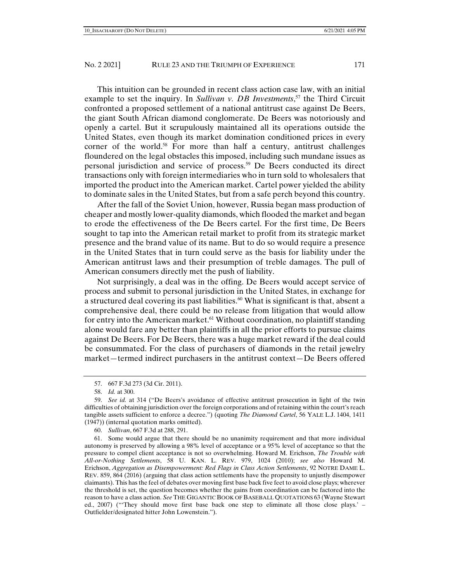This intuition can be grounded in recent class action case law, with an initial example to set the inquiry. In *Sullivan v. DB Investments*, 57 the Third Circuit confronted a proposed settlement of a national antitrust case against De Beers, the giant South African diamond conglomerate. De Beers was notoriously and openly a cartel. But it scrupulously maintained all its operations outside the United States, even though its market domination conditioned prices in every corner of the world.<sup>58</sup> For more than half a century, antitrust challenges floundered on the legal obstacles this imposed, including such mundane issues as personal jurisdiction and service of process.59 De Beers conducted its direct transactions only with foreign intermediaries who in turn sold to wholesalers that imported the product into the American market. Cartel power yielded the ability to dominate sales in the United States, but from a safe perch beyond this country.

After the fall of the Soviet Union, however, Russia began mass production of cheaper and mostly lower-quality diamonds, which flooded the market and began to erode the effectiveness of the De Beers cartel. For the first time, De Beers sought to tap into the American retail market to profit from its strategic market presence and the brand value of its name. But to do so would require a presence in the United States that in turn could serve as the basis for liability under the American antitrust laws and their presumption of treble damages. The pull of American consumers directly met the push of liability.

Not surprisingly, a deal was in the offing. De Beers would accept service of process and submit to personal jurisdiction in the United States, in exchange for a structured deal covering its past liabilities. $60$  What is significant is that, absent a comprehensive deal, there could be no release from litigation that would allow for entry into the American market.<sup>61</sup> Without coordination, no plaintiff standing alone would fare any better than plaintiffs in all the prior efforts to pursue claims against De Beers. For De Beers, there was a huge market reward if the deal could be consummated. For the class of purchasers of diamonds in the retail jewelry market—termed indirect purchasers in the antitrust context—De Beers offered

60. *Sullivan*, 667 F.3d at 288, 291.

 61. Some would argue that there should be no unanimity requirement and that more individual autonomy is preserved by allowing a 98% level of acceptance or a 95% level of acceptance so that the pressure to compel client acceptance is not so overwhelming. Howard M. Erichson, *The Trouble with All-or-Nothing Settlements*, 58 U. KAN. L. REV. 979, 1024 (2010); *see also* Howard M. Erichson, *Aggregation as Disempowerment: Red Flags in Class Action Settlements*, 92 NOTRE DAME L. REV. 859, 864 (2016) (arguing that class action settlements have the propensity to unjustly disempower claimants). This has the feel of debates over moving first base back five feet to avoid close plays; wherever the threshold is set, the question becomes whether the gains from coordination can be factored into the reason to have a class action. *See* THE GIGANTIC BOOK OF BASEBALL QUOTATIONS 63 (Wayne Stewart ed., 2007) ("'They should move first base back one step to eliminate all those close plays.' – Outfielder/designated hitter John Lowenstein.").

 <sup>57. 667</sup> F.3d 273 (3d Cir. 2011).

 <sup>58.</sup> *Id.* at 300.

 <sup>59.</sup> *See id.* at 314 ("De Beers's avoidance of effective antitrust prosecution in light of the twin difficulties of obtaining jurisdiction over the foreign corporations and of retaining within the court's reach tangible assets sufficient to enforce a decree.") (quoting *The Diamond Cartel*, 56 YALE L.J. 1404, 1411 (1947)) (internal quotation marks omitted).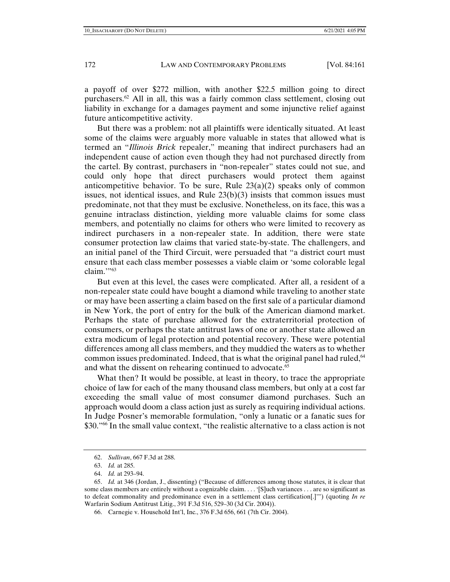a payoff of over \$272 million, with another \$22.5 million going to direct purchasers.<sup>62</sup> All in all, this was a fairly common class settlement, closing out liability in exchange for a damages payment and some injunctive relief against future anticompetitive activity.

But there was a problem: not all plaintiffs were identically situated. At least some of the claims were arguably more valuable in states that allowed what is termed an "*Illinois Brick* repealer," meaning that indirect purchasers had an independent cause of action even though they had not purchased directly from the cartel. By contrast, purchasers in "non-repealer" states could not sue, and could only hope that direct purchasers would protect them against anticompetitive behavior. To be sure, Rule  $23(a)(2)$  speaks only of common issues, not identical issues, and Rule  $23(b)(3)$  insists that common issues must predominate, not that they must be exclusive. Nonetheless, on its face, this was a genuine intraclass distinction, yielding more valuable claims for some class members, and potentially no claims for others who were limited to recovery as indirect purchasers in a non-repealer state. In addition, there were state consumer protection law claims that varied state-by-state. The challengers, and an initial panel of the Third Circuit, were persuaded that "a district court must ensure that each class member possesses a viable claim or 'some colorable legal claim."<sup>53</sup>

But even at this level, the cases were complicated. After all, a resident of a non-repealer state could have bought a diamond while traveling to another state or may have been asserting a claim based on the first sale of a particular diamond in New York, the port of entry for the bulk of the American diamond market. Perhaps the state of purchase allowed for the extraterritorial protection of consumers, or perhaps the state antitrust laws of one or another state allowed an extra modicum of legal protection and potential recovery. These were potential differences among all class members, and they muddied the waters as to whether common issues predominated. Indeed, that is what the original panel had ruled,<sup>64</sup> and what the dissent on rehearing continued to advocate.<sup>65</sup>

What then? It would be possible, at least in theory, to trace the appropriate choice of law for each of the many thousand class members, but only at a cost far exceeding the small value of most consumer diamond purchases. Such an approach would doom a class action just as surely as requiring individual actions. In Judge Posner's memorable formulation, "only a lunatic or a fanatic sues for \$30."<sup>66</sup> In the small value context, "the realistic alternative to a class action is not

 <sup>62.</sup> *Sullivan*, 667 F.3d at 288.

 <sup>63.</sup> *Id.* at 285.

 <sup>64.</sup> *Id.* at 293–94.

 <sup>65.</sup> *Id.* at 346 (Jordan, J., dissenting) ("Because of differences among those statutes, it is clear that some class members are entirely without a cognizable claim. . . . '[S]uch variances . . . are so significant as to defeat commonality and predominance even in a settlement class certification[.]'") (quoting *In re* Warfarin Sodium Antitrust Litig., 391 F.3d 516, 529–30 (3d Cir. 2004)).

 <sup>66.</sup> Carnegie v. Household Int'l, Inc., 376 F.3d 656, 661 (7th Cir. 2004).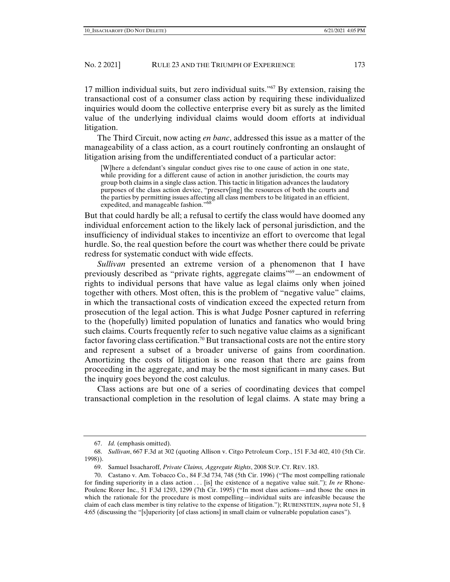17 million individual suits, but zero individual suits."67 By extension, raising the transactional cost of a consumer class action by requiring these individualized inquiries would doom the collective enterprise every bit as surely as the limited value of the underlying individual claims would doom efforts at individual litigation.

The Third Circuit, now acting *en banc*, addressed this issue as a matter of the manageability of a class action, as a court routinely confronting an onslaught of litigation arising from the undifferentiated conduct of a particular actor:

[W]here a defendant's singular conduct gives rise to one cause of action in one state, while providing for a different cause of action in another jurisdiction, the courts may group both claims in a single class action. This tactic in litigation advances the laudatory purposes of the class action device, "preserv[ing] the resources of both the courts and the parties by permitting issues affecting all class members to be litigated in an efficient, expedited, and manageable fashion."<sup>68</sup>

But that could hardly be all; a refusal to certify the class would have doomed any individual enforcement action to the likely lack of personal jurisdiction, and the insufficiency of individual stakes to incentivize an effort to overcome that legal hurdle. So, the real question before the court was whether there could be private redress for systematic conduct with wide effects.

*Sullivan* presented an extreme version of a phenomenon that I have previously described as "private rights, aggregate claims"69—an endowment of rights to individual persons that have value as legal claims only when joined together with others. Most often, this is the problem of "negative value" claims, in which the transactional costs of vindication exceed the expected return from prosecution of the legal action. This is what Judge Posner captured in referring to the (hopefully) limited population of lunatics and fanatics who would bring such claims. Courts frequently refer to such negative value claims as a significant factor favoring class certification.<sup>70</sup> But transactional costs are not the entire story and represent a subset of a broader universe of gains from coordination. Amortizing the costs of litigation is one reason that there are gains from proceeding in the aggregate, and may be the most significant in many cases. But the inquiry goes beyond the cost calculus.

Class actions are but one of a series of coordinating devices that compel transactional completion in the resolution of legal claims. A state may bring a

 <sup>67.</sup> *Id.* (emphasis omitted).

 <sup>68.</sup> *Sullivan*, 667 F.3d at 302 (quoting Allison v. Citgo Petroleum Corp., 151 F.3d 402, 410 (5th Cir. 1998)).

 <sup>69.</sup> Samuel Issacharoff, *Private Claims, Aggregate Rights*, 2008 SUP. CT. REV. 183.

 <sup>70.</sup> Castano v. Am. Tobacco Co., 84 F.3d 734, 748 (5th Cir. 1996) ("The most compelling rationale for finding superiority in a class action . . . [is] the existence of a negative value suit."); *In re* Rhone-Poulenc Rorer Inc., 51 F.3d 1293, 1299 (7th Cir. 1995) ("In most class actions—and those the ones in which the rationale for the procedure is most compelling—individual suits are infeasible because the claim of each class member is tiny relative to the expense of litigation."); RUBENSTEIN, *supra* note 51, § 4:65 (discussing the "[s]uperiority [of class actions] in small claim or vulnerable population cases").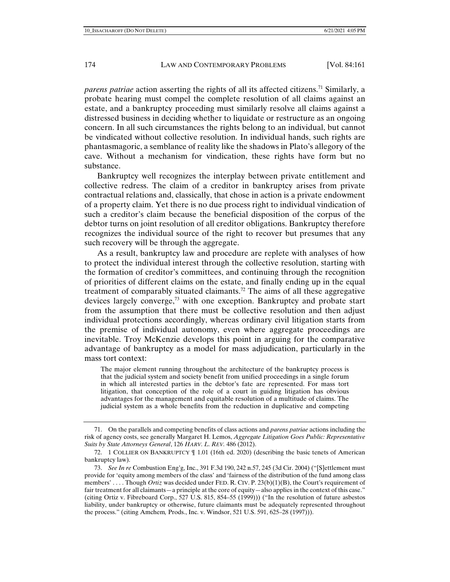*parens patriae* action asserting the rights of all its affected citizens.<sup>71</sup> Similarly, a probate hearing must compel the complete resolution of all claims against an estate, and a bankruptcy proceeding must similarly resolve all claims against a distressed business in deciding whether to liquidate or restructure as an ongoing concern. In all such circumstances the rights belong to an individual, but cannot be vindicated without collective resolution. In individual hands, such rights are phantasmagoric, a semblance of reality like the shadows in Plato's allegory of the cave. Without a mechanism for vindication, these rights have form but no substance.

Bankruptcy well recognizes the interplay between private entitlement and collective redress. The claim of a creditor in bankruptcy arises from private contractual relations and, classically, that chose in action is a private endowment of a property claim. Yet there is no due process right to individual vindication of such a creditor's claim because the beneficial disposition of the corpus of the debtor turns on joint resolution of all creditor obligations. Bankruptcy therefore recognizes the individual source of the right to recover but presumes that any such recovery will be through the aggregate.

As a result, bankruptcy law and procedure are replete with analyses of how to protect the individual interest through the collective resolution, starting with the formation of creditor's committees, and continuing through the recognition of priorities of different claims on the estate, and finally ending up in the equal treatment of comparably situated claimants.<sup>72</sup> The aims of all these aggregative devices largely converge,<sup>73</sup> with one exception. Bankruptcy and probate start from the assumption that there must be collective resolution and then adjust individual protections accordingly, whereas ordinary civil litigation starts from the premise of individual autonomy, even where aggregate proceedings are inevitable. Troy McKenzie develops this point in arguing for the comparative advantage of bankruptcy as a model for mass adjudication, particularly in the mass tort context:

The major element running throughout the architecture of the bankruptcy process is that the judicial system and society benefit from unified proceedings in a single forum in which all interested parties in the debtor's fate are represented. For mass tort litigation, that conception of the role of a court in guiding litigation has obvious advantages for the management and equitable resolution of a multitude of claims. The judicial system as a whole benefits from the reduction in duplicative and competing

 <sup>71.</sup> On the parallels and competing benefits of class actions and *parens patriae* actions including the risk of agency costs, see generally Margaret H. Lemos, *Aggregate Litigation Goes Public: Representative Suits by State Attorneys General*, 126 *HARV. L. REV.* 486 (2012).

 <sup>72. 1</sup> COLLIER ON BANKRUPTCY ¶ 1.01 (16th ed. 2020) (describing the basic tenets of American bankruptcy law).

 <sup>73.</sup> *See In re* Combustion Eng'g, Inc., 391 F.3d 190, 242 n.57, 245 (3d Cir. 2004) ("[S]ettlement must provide for 'equity among members of the class' and 'fairness of the distribution of the fund among class members' .... Though *Ortiz* was decided under FED. R. CIV. P. 23(b)(1)(B), the Court's requirement of fair treatment for all claimants—a principle at the core of equity—also applies in the context of this case." (citing Ortiz v. Fibreboard Corp., 527 U.S. 815, 854–55 (1999))) ("In the resolution of future asbestos liability, under bankruptcy or otherwise, future claimants must be adequately represented throughout the process." (citing Amchem*,* Prods., Inc. v. Windsor, 521 U.S. 591, 625–28 (1997))).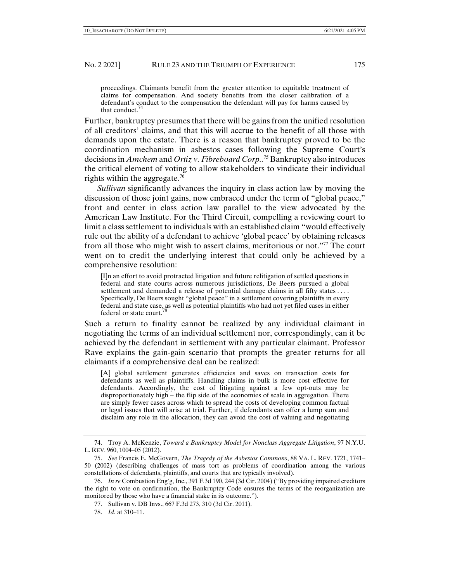proceedings. Claimants benefit from the greater attention to equitable treatment of claims for compensation. And society benefits from the closer calibration of a defendant's conduct to the compensation the defendant will pay for harms caused by that conduct.<sup>74</sup>

Further, bankruptcy presumes that there will be gains from the unified resolution of all creditors' claims, and that this will accrue to the benefit of all those with demands upon the estate. There is a reason that bankruptcy proved to be the coordination mechanism in asbestos cases following the Supreme Court's decisions in *Amchem* and *Ortiz v. Fibreboard Corp..*75 Bankruptcy also introduces the critical element of voting to allow stakeholders to vindicate their individual rights within the aggregate.76

*Sullivan* significantly advances the inquiry in class action law by moving the discussion of those joint gains, now embraced under the term of "global peace," front and center in class action law parallel to the view advocated by the American Law Institute. For the Third Circuit, compelling a reviewing court to limit a class settlement to individuals with an established claim "would effectively rule out the ability of a defendant to achieve 'global peace' by obtaining releases from all those who might wish to assert claims, meritorious or not."77 The court went on to credit the underlying interest that could only be achieved by a comprehensive resolution:

[I]n an effort to avoid protracted litigation and future relitigation of settled questions in federal and state courts across numerous jurisdictions, De Beers pursued a global settlement and demanded a release of potential damage claims in all fifty states . . . . Specifically, De Beers sought "global peace" in a settlement covering plaintiffs in every federal and state case, as well as potential plaintiffs who had not yet filed cases in either federal or state court.<sup>78</sup>

Such a return to finality cannot be realized by any individual claimant in negotiating the terms of an individual settlement nor, correspondingly, can it be achieved by the defendant in settlement with any particular claimant. Professor Rave explains the gain-gain scenario that prompts the greater returns for all claimants if a comprehensive deal can be realized:

[A] global settlement generates efficiencies and saves on transaction costs for defendants as well as plaintiffs. Handling claims in bulk is more cost effective for defendants. Accordingly, the cost of litigating against a few opt-outs may be disproportionately high – the flip side of the economies of scale in aggregation. There are simply fewer cases across which to spread the costs of developing common factual or legal issues that will arise at trial. Further, if defendants can offer a lump sum and disclaim any role in the allocation, they can avoid the cost of valuing and negotiating

 <sup>74.</sup> Troy A. McKenzie, *Toward a Bankruptcy Model for Nonclass Aggregate Litigation*, 97 N.Y.U. L. REV. 960, 1004–05 (2012).

 <sup>75.</sup> *See* Francis E. McGovern, *The Tragedy of the Asbestos Commons*, 88 VA. L. REV. 1721, 1741– 50 (2002) (describing challenges of mass tort as problems of coordination among the various constellations of defendants, plaintiffs, and courts that are typically involved).

 <sup>76.</sup> *In re* Combustion Eng'g, Inc., 391 F.3d 190, 244 (3d Cir. 2004) ("By providing impaired creditors the right to vote on confirmation, the Bankruptcy Code ensures the terms of the reorganization are monitored by those who have a financial stake in its outcome.").

 <sup>77.</sup> Sullivan v. DB Invs., 667 F.3d 273, 310 (3d Cir. 2011).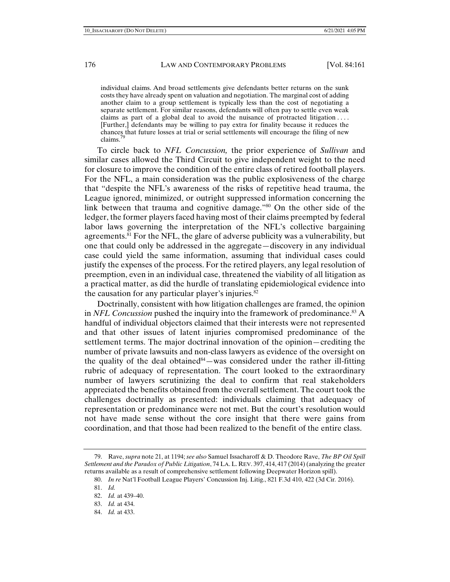individual claims. And broad settlements give defendants better returns on the sunk costs they have already spent on valuation and negotiation. The marginal cost of adding another claim to a group settlement is typically less than the cost of negotiating a separate settlement. For similar reasons, defendants will often pay to settle even weak claims as part of a global deal to avoid the nuisance of protracted litigation  $\dots$ . [Further,] defendants may be willing to pay extra for finality because it reduces the chances that future losses at trial or serial settlements will encourage the filing of new claims.79

To circle back to *NFL Concussion,* the prior experience of *Sullivan* and similar cases allowed the Third Circuit to give independent weight to the need for closure to improve the condition of the entire class of retired football players. For the NFL, a main consideration was the public explosiveness of the charge that "despite the NFL's awareness of the risks of repetitive head trauma, the League ignored, minimized, or outright suppressed information concerning the link between that trauma and cognitive damage."80 On the other side of the ledger, the former players faced having most of their claims preempted by federal labor laws governing the interpretation of the NFL's collective bargaining agreements. $81$  For the NFL, the glare of adverse publicity was a vulnerability, but one that could only be addressed in the aggregate—discovery in any individual case could yield the same information, assuming that individual cases could justify the expenses of the process. For the retired players, any legal resolution of preemption, even in an individual case, threatened the viability of all litigation as a practical matter, as did the hurdle of translating epidemiological evidence into the causation for any particular player's injuries.<sup>82</sup>

Doctrinally, consistent with how litigation challenges are framed, the opinion in *NFL Concussion* pushed the inquiry into the framework of predominance.<sup>83</sup> A handful of individual objectors claimed that their interests were not represented and that other issues of latent injuries compromised predominance of the settlement terms. The major doctrinal innovation of the opinion—crediting the number of private lawsuits and non-class lawyers as evidence of the oversight on the quality of the deal obtained $84$ —was considered under the rather ill-fitting rubric of adequacy of representation. The court looked to the extraordinary number of lawyers scrutinizing the deal to confirm that real stakeholders appreciated the benefits obtained from the overall settlement. The court took the challenges doctrinally as presented: individuals claiming that adequacy of representation or predominance were not met. But the court's resolution would not have made sense without the core insight that there were gains from coordination, and that those had been realized to the benefit of the entire class.

 <sup>79.</sup> Rave, *supra* note 21, at 1194; *see also* Samuel Issacharoff & D. Theodore Rave, *The BP Oil Spill Settlement and the Paradox of Public Litigation*, 74 LA. L. REV. 397, 414, 417 (2014)(analyzing the greater returns available as a result of comprehensive settlement following Deepwater Horizon spill).

 <sup>80.</sup> *In re* Nat'l Football League Players' Concussion Inj. Litig., 821 F*.*3d 410, 422 (3d Cir*.* 2016).

 <sup>81.</sup> *Id.* 

 <sup>82.</sup> *Id.* at 439–40.

 <sup>83.</sup> *Id.* at 434.

 <sup>84.</sup> *Id.* at 433.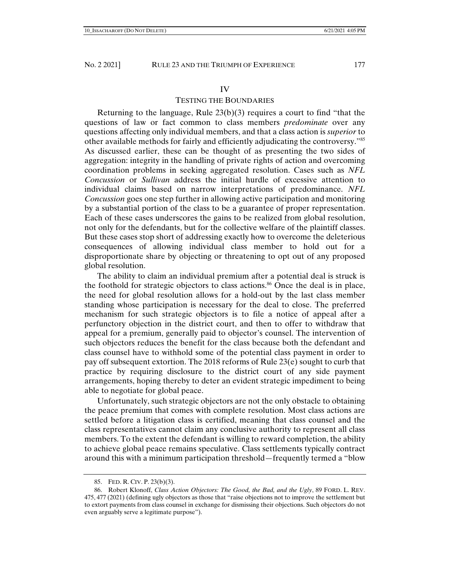## IV

## TESTING THE BOUNDARIES

Returning to the language, Rule  $23(b)(3)$  requires a court to find "that the questions of law or fact common to class members *predominate* over any questions affecting only individual members, and that a class action is *superior* to other available methods for fairly and efficiently adjudicating the controversy."85 As discussed earlier, these can be thought of as presenting the two sides of aggregation: integrity in the handling of private rights of action and overcoming coordination problems in seeking aggregated resolution. Cases such as *NFL Concussion* or *Sullivan* address the initial hurdle of excessive attention to individual claims based on narrow interpretations of predominance. *NFL Concussion* goes one step further in allowing active participation and monitoring by a substantial portion of the class to be a guarantee of proper representation. Each of these cases underscores the gains to be realized from global resolution, not only for the defendants, but for the collective welfare of the plaintiff classes. But these cases stop short of addressing exactly how to overcome the deleterious consequences of allowing individual class member to hold out for a disproportionate share by objecting or threatening to opt out of any proposed global resolution.

The ability to claim an individual premium after a potential deal is struck is the foothold for strategic objectors to class actions.<sup>86</sup> Once the deal is in place, the need for global resolution allows for a hold-out by the last class member standing whose participation is necessary for the deal to close. The preferred mechanism for such strategic objectors is to file a notice of appeal after a perfunctory objection in the district court, and then to offer to withdraw that appeal for a premium, generally paid to objector's counsel. The intervention of such objectors reduces the benefit for the class because both the defendant and class counsel have to withhold some of the potential class payment in order to pay off subsequent extortion. The 2018 reforms of Rule 23(e) sought to curb that practice by requiring disclosure to the district court of any side payment arrangements, hoping thereby to deter an evident strategic impediment to being able to negotiate for global peace.

Unfortunately, such strategic objectors are not the only obstacle to obtaining the peace premium that comes with complete resolution. Most class actions are settled before a litigation class is certified, meaning that class counsel and the class representatives cannot claim any conclusive authority to represent all class members. To the extent the defendant is willing to reward completion, the ability to achieve global peace remains speculative. Class settlements typically contract around this with a minimum participation threshold—frequently termed a "blow

 <sup>85.</sup> FED. R. CIV. P. 23(b)(3).

 <sup>86.</sup> Robert Klonoff, *Class Action Objectors: The Good, the Bad, and the Ugly*, 89 FORD. L. REV. 475, 477 (2021) (defining ugly objectors as those that "raise objections not to improve the settlement but to extort payments from class counsel in exchange for dismissing their objections. Such objectors do not even arguably serve a legitimate purpose").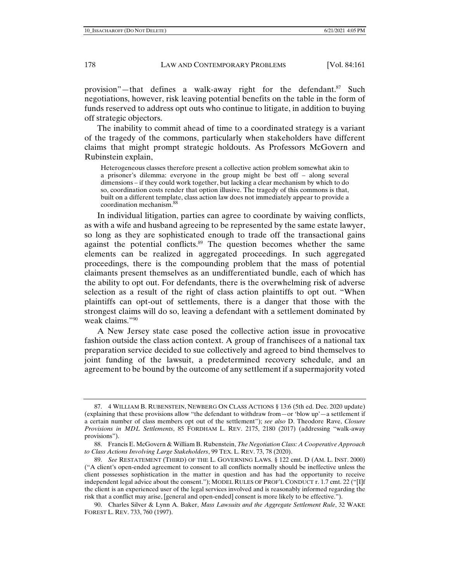provision"—that defines a walk-away right for the defendant.<sup>87</sup> Such negotiations, however, risk leaving potential benefits on the table in the form of funds reserved to address opt outs who continue to litigate, in addition to buying off strategic objectors.

The inability to commit ahead of time to a coordinated strategy is a variant of the tragedy of the commons, particularly when stakeholders have different claims that might prompt strategic holdouts. As Professors McGovern and Rubinstein explain,

Heterogeneous classes therefore present a collective action problem somewhat akin to a prisoner's dilemma: everyone in the group might be best off – along several dimensions – if they could work together, but lacking a clear mechanism by which to do so, coordination costs render that option illusive. The tragedy of this commons is that, built on a different template, class action law does not immediately appear to provide a coordination mechanism.<sup>88</sup>

In individual litigation, parties can agree to coordinate by waiving conflicts, as with a wife and husband agreeing to be represented by the same estate lawyer, so long as they are sophisticated enough to trade off the transactional gains against the potential conflicts.<sup>89</sup> The question becomes whether the same elements can be realized in aggregated proceedings. In such aggregated proceedings, there is the compounding problem that the mass of potential claimants present themselves as an undifferentiated bundle, each of which has the ability to opt out. For defendants, there is the overwhelming risk of adverse selection as a result of the right of class action plaintiffs to opt out. "When plaintiffs can opt-out of settlements, there is a danger that those with the strongest claims will do so, leaving a defendant with a settlement dominated by weak claims."90

A New Jersey state case posed the collective action issue in provocative fashion outside the class action context. A group of franchisees of a national tax preparation service decided to sue collectively and agreed to bind themselves to joint funding of the lawsuit, a predetermined recovery schedule, and an agreement to be bound by the outcome of any settlement if a supermajority voted

 <sup>87. 4</sup> WILLIAM B. RUBENSTEIN, NEWBERG ON CLASS ACTIONS § 13:6 (5th ed. Dec. 2020 update) (explaining that these provisions allow "the defendant to withdraw from—or 'blow up'—a settlement if a certain number of class members opt out of the settlement"); *see also* D. Theodore Rave, *Closure Provisions in MDL Settlements*, 85 FORDHAM L. REV. 2175, 2180 (2017) (addressing "walk-away provisions").

 <sup>88.</sup> Francis E. McGovern & William B. Rubenstein, *The Negotiation Class: A Cooperative Approach to Class Actions Involving Large Stakeholders*, 99 TEX. L. REV. 73, 78 (2020).

 <sup>89.</sup> *See* RESTATEMENT (THIRD) OF THE L. GOVERNING LAWS. § 122 cmt. D (AM. L. INST. 2000) ("A client's open-ended agreement to consent to all conflicts normally should be ineffective unless the client possesses sophistication in the matter in question and has had the opportunity to receive independent legal advice about the consent."); MODEL RULES OF PROF'L CONDUCT r. 1.7 cmt. 22 ("[I]f the client is an experienced user of the legal services involved and is reasonably informed regarding the risk that a conflict may arise, [general and open-ended] consent is more likely to be effective.").

 <sup>90.</sup> Charles Silver & Lynn A. Baker, *Mass Lawsuits and the Aggregate Settlement Rule*, 32 WAKE FOREST L. REV. 733, 760 (1997).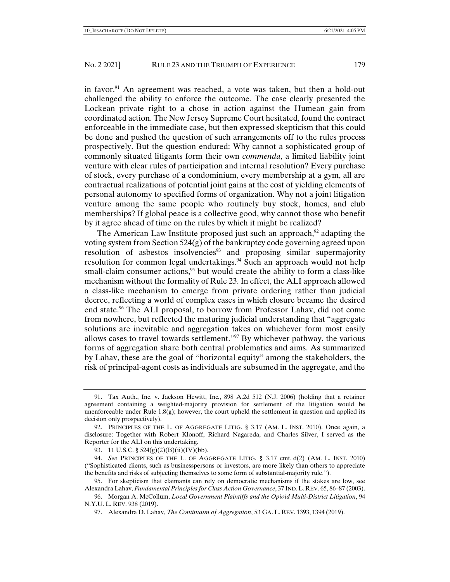in favor.<sup>91</sup> An agreement was reached, a vote was taken, but then a hold-out challenged the ability to enforce the outcome. The case clearly presented the Lockean private right to a chose in action against the Humean gain from coordinated action. The New Jersey Supreme Court hesitated, found the contract enforceable in the immediate case, but then expressed skepticism that this could be done and pushed the question of such arrangements off to the rules process prospectively. But the question endured: Why cannot a sophisticated group of commonly situated litigants form their own *commenda*, a limited liability joint venture with clear rules of participation and internal resolution? Every purchase of stock, every purchase of a condominium, every membership at a gym, all are contractual realizations of potential joint gains at the cost of yielding elements of personal autonomy to specified forms of organization. Why not a joint litigation venture among the same people who routinely buy stock, homes, and club memberships? If global peace is a collective good, why cannot those who benefit by it agree ahead of time on the rules by which it might be realized?

The American Law Institute proposed just such an approach,  $92$  adapting the voting system from Section 524(g) of the bankruptcy code governing agreed upon resolution of asbestos insolvencies<sup>93</sup> and proposing similar supermajority resolution for common legal undertakings.<sup>94</sup> Such an approach would not help small-claim consumer actions,<sup>95</sup> but would create the ability to form a class-like mechanism without the formality of Rule 23. In effect, the ALI approach allowed a class-like mechanism to emerge from private ordering rather than judicial decree, reflecting a world of complex cases in which closure became the desired end state.<sup>96</sup> The ALI proposal, to borrow from Professor Lahav, did not come from nowhere, but reflected the maturing judicial understanding that "aggregate solutions are inevitable and aggregation takes on whichever form most easily allows cases to travel towards settlement."<sup>97</sup> By whichever pathway, the various forms of aggregation share both central problematics and aims. As summarized by Lahav, these are the goal of "horizontal equity" among the stakeholders, the risk of principal-agent costs as individuals are subsumed in the aggregate, and the

 <sup>91.</sup> Tax Auth., Inc. v. Jackson Hewitt, Inc*.*, 898 A.2d 512 (N.J. 2006) (holding that a retainer agreement containing a weighted-majority provision for settlement of the litigation would be unenforceable under Rule  $1.8(q)$ ; however, the court upheld the settlement in question and applied its decision only prospectively).

 <sup>92.</sup> PRINCIPLES OF THE L. OF AGGREGATE LITIG. § 3.17 (AM. L. INST. 2010). Once again, a disclosure: Together with Robert Klonoff, Richard Nagareda, and Charles Silver, I served as the Reporter for the ALI on this undertaking.

 <sup>93. 11</sup> U.S.C. § 524(g)(2)(B)(ii)(IV)(bb).

 <sup>94.</sup> *See* PRINCIPLES OF THE L. OF AGGREGATE LITIG. § 3.17 cmt. d(2) (AM. L. INST. 2010) ("Sophisticated clients, such as businesspersons or investors, are more likely than others to appreciate the benefits and risks of subjecting themselves to some form of substantial-majority rule.").

 <sup>95.</sup> For skepticism that claimants can rely on democratic mechanisms if the stakes are low, see Alexandra Lahav, *Fundamental Principles for Class Action Governance*, 37 IND.L. REV. 65, 86–87 (2003).

 <sup>96.</sup> Morgan A. McCollum, *Local Government Plaintiffs and the Opioid Multi-District Litigation*, 94 N.Y.U. L. REV. 938 (2019).

 <sup>97.</sup> Alexandra D. Lahav, *The Continuum of Aggregation*, 53 GA. L. REV. 1393, 1394 (2019).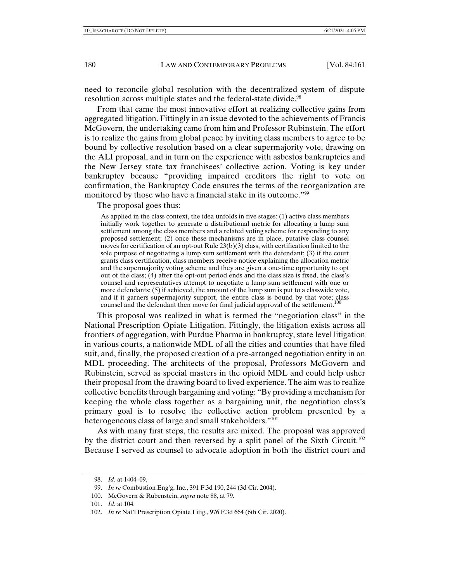need to reconcile global resolution with the decentralized system of dispute resolution across multiple states and the federal-state divide.<sup>98</sup>

From that came the most innovative effort at realizing collective gains from aggregated litigation. Fittingly in an issue devoted to the achievements of Francis McGovern, the undertaking came from him and Professor Rubinstein. The effort is to realize the gains from global peace by inviting class members to agree to be bound by collective resolution based on a clear supermajority vote, drawing on the ALI proposal, and in turn on the experience with asbestos bankruptcies and the New Jersey state tax franchisees' collective action. Voting is key under bankruptcy because "providing impaired creditors the right to vote on confirmation, the Bankruptcy Code ensures the terms of the reorganization are monitored by those who have a financial stake in its outcome."<sup>99</sup>

The proposal goes thus:

As applied in the class context, the idea unfolds in five stages: (1) active class members initially work together to generate a distributional metric for allocating a lump sum settlement among the class members and a related voting scheme for responding to any proposed settlement; (2) once these mechanisms are in place, putative class counsel moves for certification of an opt-out Rule 23(b)(3) class, with certification limited to the sole purpose of negotiating a lump sum settlement with the defendant; (3) if the court grants class certification, class members receive notice explaining the allocation metric and the supermajority voting scheme and they are given a one-time opportunity to opt out of the class; (4) after the opt-out period ends and the class size is fixed, the class's counsel and representatives attempt to negotiate a lump sum settlement with one or more defendants; (5) if achieved, the amount of the lump sum is put to a classwide vote, and if it garners supermajority support, the entire class is bound by that vote; class counsel and the defendant then move for final judicial approval of the settlement.<sup>100</sup>

This proposal was realized in what is termed the "negotiation class" in the National Prescription Opiate Litigation. Fittingly, the litigation exists across all frontiers of aggregation, with Purdue Pharma in bankruptcy, state level litigation in various courts, a nationwide MDL of all the cities and counties that have filed suit, and, finally, the proposed creation of a pre-arranged negotiation entity in an MDL proceeding. The architects of the proposal, Professors McGovern and Rubinstein, served as special masters in the opioid MDL and could help usher their proposal from the drawing board to lived experience. The aim was to realize collective benefits through bargaining and voting: "By providing a mechanism for keeping the whole class together as a bargaining unit, the negotiation class's primary goal is to resolve the collective action problem presented by a heterogeneous class of large and small stakeholders."<sup>101</sup>

As with many first steps, the results are mixed. The proposal was approved by the district court and then reversed by a split panel of the Sixth Circuit.<sup>102</sup> Because I served as counsel to advocate adoption in both the district court and

 <sup>98.</sup> *Id.* at 1404–09.

 <sup>99.</sup> *In re* Combustion Eng'g, Inc., 391 F.3d 190, 244 (3d Cir. 2004).

 <sup>100.</sup> McGovern & Rubenstein, *supra* note 88, at 79.

 <sup>101.</sup> *Id.* at 104.

 <sup>102.</sup> *In re* Nat'l Prescription Opiate Litig., 976 F.3d 664 (6th Cir. 2020).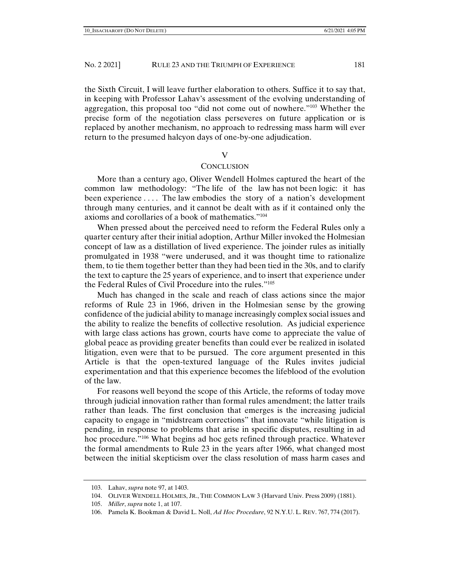the Sixth Circuit, I will leave further elaboration to others. Suffice it to say that, in keeping with Professor Lahav's assessment of the evolving understanding of aggregation, this proposal too "did not come out of nowhere."103 Whether the precise form of the negotiation class perseveres on future application or is replaced by another mechanism, no approach to redressing mass harm will ever return to the presumed halcyon days of one-by-one adjudication.

V

## **CONCLUSION**

More than a century ago, Oliver Wendell Holmes captured the heart of the common law methodology: "The life of the law has not been logic: it has been experience . . . . The law embodies the story of a nation's development through many centuries, and it cannot be dealt with as if it contained only the axioms and corollaries of a book of mathematics."104

When pressed about the perceived need to reform the Federal Rules only a quarter century after their initial adoption, Arthur Miller invoked the Holmesian concept of law as a distillation of lived experience. The joinder rules as initially promulgated in 1938 "were underused, and it was thought time to rationalize them, to tie them together better than they had been tied in the 30s, and to clarify the text to capture the 25 years of experience, and to insert that experience under the Federal Rules of Civil Procedure into the rules."105

Much has changed in the scale and reach of class actions since the major reforms of Rule 23 in 1966, driven in the Holmesian sense by the growing confidence of the judicial ability to manage increasingly complex social issues and the ability to realize the benefits of collective resolution. As judicial experience with large class actions has grown, courts have come to appreciate the value of global peace as providing greater benefits than could ever be realized in isolated litigation, even were that to be pursued. The core argument presented in this Article is that the open-textured language of the Rules invites judicial experimentation and that this experience becomes the lifeblood of the evolution of the law.

For reasons well beyond the scope of this Article, the reforms of today move through judicial innovation rather than formal rules amendment; the latter trails rather than leads. The first conclusion that emerges is the increasing judicial capacity to engage in "midstream corrections" that innovate "while litigation is pending, in response to problems that arise in specific disputes, resulting in ad hoc procedure."106 What begins ad hoc gets refined through practice. Whatever the formal amendments to Rule 23 in the years after 1966, what changed most between the initial skepticism over the class resolution of mass harm cases and

 <sup>103.</sup> Lahav, *supra* note 97, at 1403.

 <sup>104.</sup> OLIVER WENDELL HOLMES, JR., THE COMMON LAW 3 (Harvard Univ. Press 2009) (1881).

 <sup>105.</sup> *Miller*, *supra* note 1, at 107.

 <sup>106.</sup> Pamela K. Bookman & David L. Noll, *Ad Hoc Procedure*, 92 N.Y.U. L. REV. 767, 774 (2017).